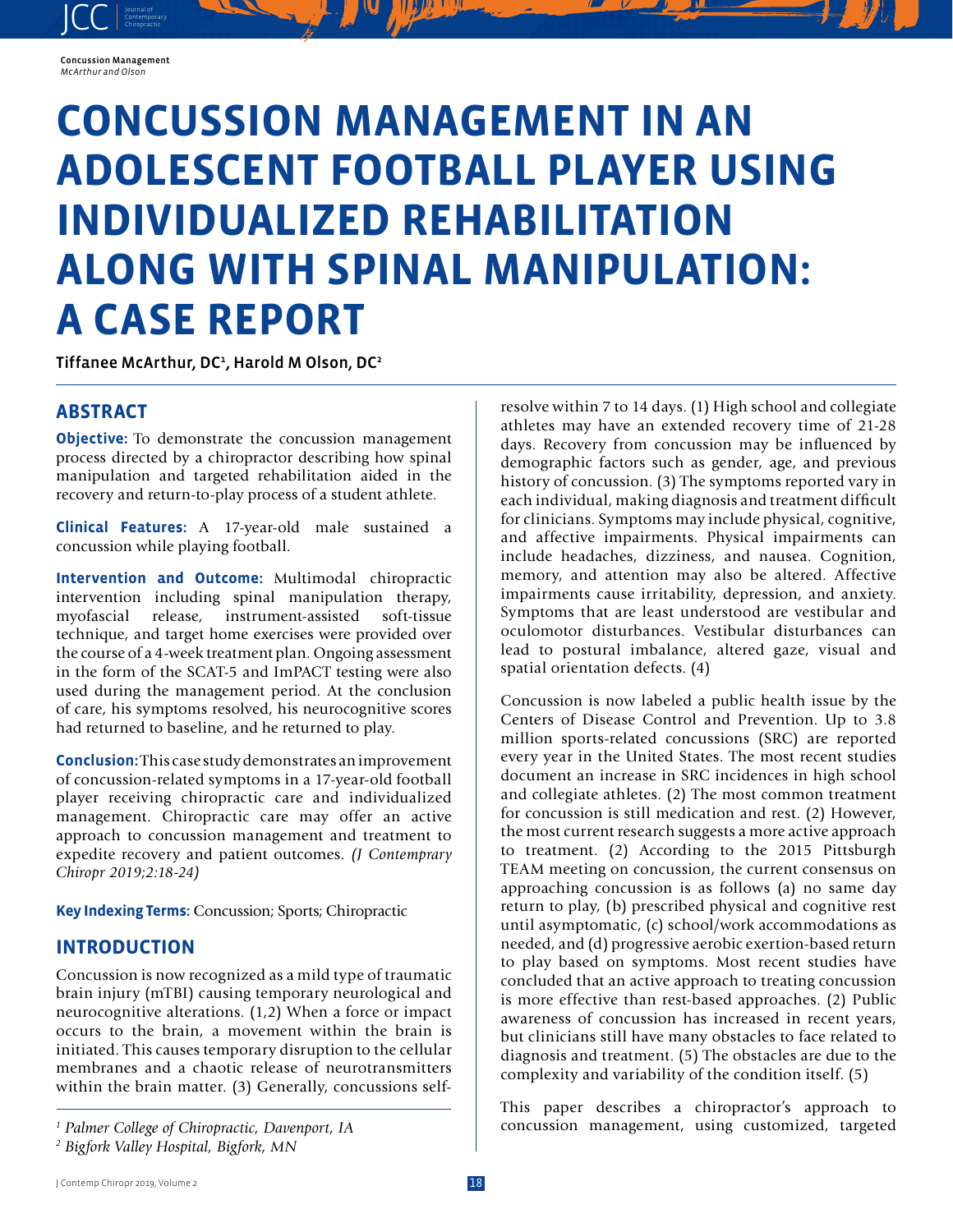#### Concussion Management *McArthur and Olson*

JCC contemporary Contemporary

# **CONCUSSION MANAGEMENT IN AN ADOLESCENT FOOTBALL PLAYER USING INDIVIDUALIZED REHABILITATION ALONG WITH SPINAL MANIPULATION: A CASE REPORT**

Tiffanee McArthur, DC<sup>1</sup>, Harold M Olson, DC<sup>2</sup>

## **ABSTRACT**

**Objective:** To demonstrate the concussion management process directed by a chiropractor describing how spinal manipulation and targeted rehabilitation aided in the recovery and return-to-play process of a student athlete.

**Clinical Features:** A 17-year-old male sustained a concussion while playing football.

**Intervention and Outcome:** Multimodal chiropractic intervention including spinal manipulation therapy,<br>myofascial release, instrument-assisted soft-tissue instrument-assisted soft-tissue technique, and target home exercises were provided over the course of a 4-week treatment plan. Ongoing assessment in the form of the SCAT-5 and ImPACT testing were also used during the management period. At the conclusion of care, his symptoms resolved, his neurocognitive scores had returned to baseline, and he returned to play.

**Conclusion:** This case study demonstrates an improvement of concussion-related symptoms in a 17-year-old football player receiving chiropractic care and individualized management. Chiropractic care may offer an active approach to concussion management and treatment to expedite recovery and patient outcomes. *(J Contemprary Chiropr 2019;2:18-24)* 

**Key Indexing Terms:** Concussion; Sports; Chiropractic

## **INTRODUCTION**

Concussion is now recognized as a mild type of traumatic brain injury (mTBI) causing temporary neurological and neurocognitive alterations. (1,2) When a force or impact occurs to the brain, a movement within the brain is initiated. This causes temporary disruption to the cellular membranes and a chaotic release of neurotransmitters within the brain matter. (3) Generally, concussions selfresolve within 7 to 14 days. (1) High school and collegiate athletes may have an extended recovery time of 21-28 days. Recovery from concussion may be influenced by demographic factors such as gender, age, and previous history of concussion. (3) The symptoms reported vary in each individual, making diagnosis and treatment difficult for clinicians. Symptoms may include physical, cognitive, and affective impairments. Physical impairments can include headaches, dizziness, and nausea. Cognition, memory, and attention may also be altered. Affective impairments cause irritability, depression, and anxiety. Symptoms that are least understood are vestibular and oculomotor disturbances. Vestibular disturbances can lead to postural imbalance, altered gaze, visual and spatial orientation defects. (4)

Concussion is now labeled a public health issue by the Centers of Disease Control and Prevention. Up to 3.8 million sports-related concussions (SRC) are reported every year in the United States. The most recent studies document an increase in SRC incidences in high school and collegiate athletes. (2) The most common treatment for concussion is still medication and rest. (2) However, the most current research suggests a more active approach to treatment. (2) According to the 2015 Pittsburgh TEAM meeting on concussion, the current consensus on approaching concussion is as follows (a) no same day return to play, (b) prescribed physical and cognitive rest until asymptomatic, (c) school/work accommodations as needed, and (d) progressive aerobic exertion-based return to play based on symptoms. Most recent studies have concluded that an active approach to treating concussion is more effective than rest-based approaches. (2) Public awareness of concussion has increased in recent years, but clinicians still have many obstacles to face related to diagnosis and treatment. (5) The obstacles are due to the complexity and variability of the condition itself. (5)

This paper describes a chiropractor's approach to concussion management, using customized, targeted

*<sup>1</sup> Palmer College of Chiropractic, Davenport, IA*

*<sup>2</sup> Bigfork Valley Hospital, Bigfork, MN*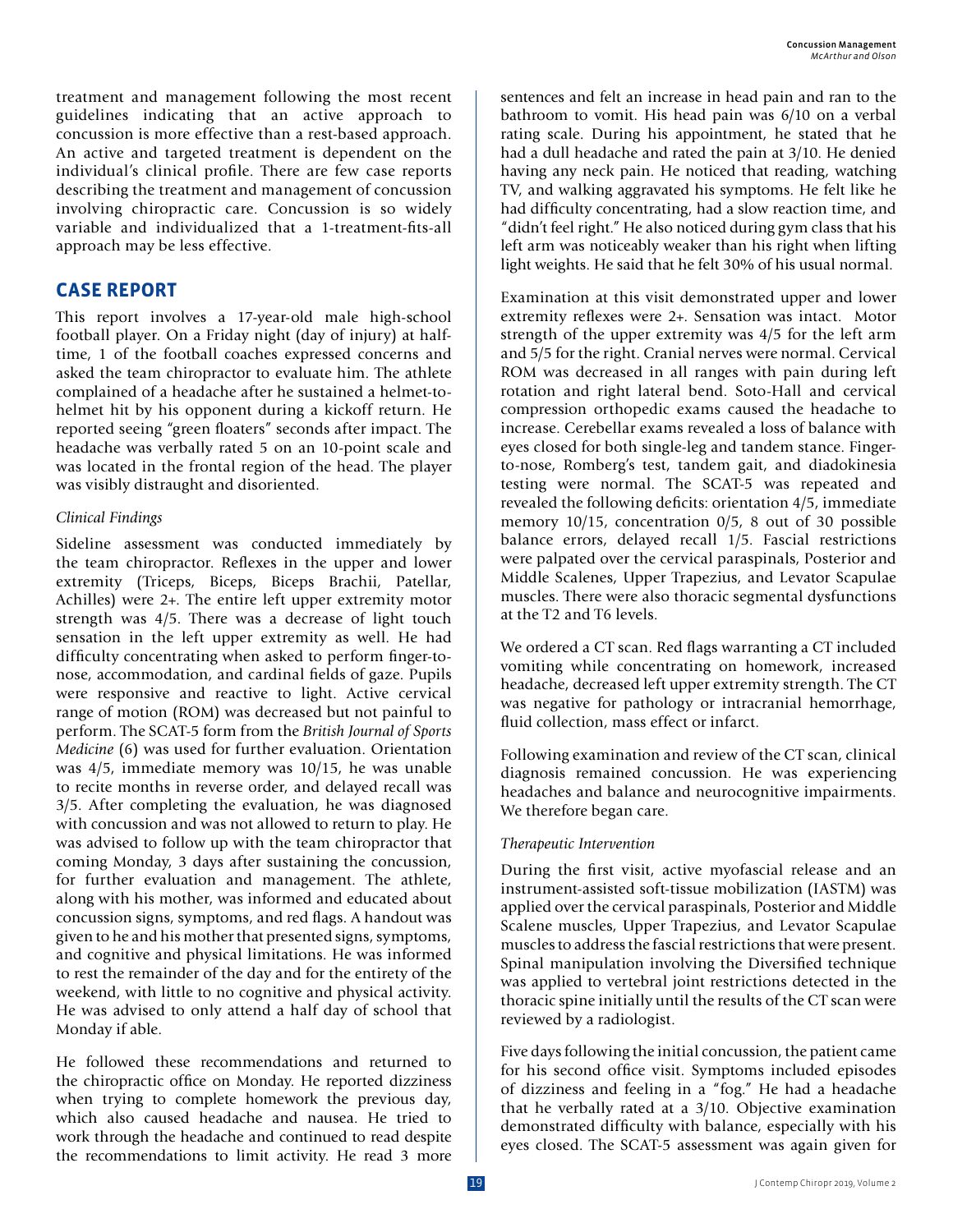treatment and management following the most recent guidelines indicating that an active approach to concussion is more effective than a rest-based approach. An active and targeted treatment is dependent on the individual's clinical profile. There are few case reports describing the treatment and management of concussion involving chiropractic care. Concussion is so widely variable and individualized that a 1-treatment-fits-all approach may be less effective.

## **CASE REPORT**

This report involves a 17-year-old male high-school football player. On a Friday night (day of injury) at halftime, 1 of the football coaches expressed concerns and asked the team chiropractor to evaluate him. The athlete complained of a headache after he sustained a helmet-tohelmet hit by his opponent during a kickoff return. He reported seeing "green floaters" seconds after impact. The headache was verbally rated 5 on an 10-point scale and was located in the frontal region of the head. The player was visibly distraught and disoriented.

#### *Clinical Findings*

Sideline assessment was conducted immediately by the team chiropractor. Reflexes in the upper and lower extremity (Triceps, Biceps, Biceps Brachii, Patellar, Achilles) were 2+. The entire left upper extremity motor strength was 4/5. There was a decrease of light touch sensation in the left upper extremity as well. He had difficulty concentrating when asked to perform finger-tonose, accommodation, and cardinal fields of gaze. Pupils were responsive and reactive to light. Active cervical range of motion (ROM) was decreased but not painful to perform. The SCAT-5 form from the *British Journal of Sports Medicine* (6) was used for further evaluation. Orientation was 4/5, immediate memory was 10/15, he was unable to recite months in reverse order, and delayed recall was 3/5. After completing the evaluation, he was diagnosed with concussion and was not allowed to return to play. He was advised to follow up with the team chiropractor that coming Monday, 3 days after sustaining the concussion, for further evaluation and management. The athlete, along with his mother, was informed and educated about concussion signs, symptoms, and red flags. A handout was given to he and his mother that presented signs, symptoms, and cognitive and physical limitations. He was informed to rest the remainder of the day and for the entirety of the weekend, with little to no cognitive and physical activity. He was advised to only attend a half day of school that Monday if able.

He followed these recommendations and returned to the chiropractic office on Monday. He reported dizziness when trying to complete homework the previous day, which also caused headache and nausea. He tried to work through the headache and continued to read despite the recommendations to limit activity. He read 3 more sentences and felt an increase in head pain and ran to the bathroom to vomit. His head pain was 6/10 on a verbal rating scale. During his appointment, he stated that he had a dull headache and rated the pain at 3/10. He denied having any neck pain. He noticed that reading, watching TV, and walking aggravated his symptoms. He felt like he had difficulty concentrating, had a slow reaction time, and "didn't feel right." He also noticed during gym class that his left arm was noticeably weaker than his right when lifting light weights. He said that he felt 30% of his usual normal.

Examination at this visit demonstrated upper and lower extremity reflexes were 2+. Sensation was intact. Motor strength of the upper extremity was 4/5 for the left arm and 5/5 for the right. Cranial nerves were normal. Cervical ROM was decreased in all ranges with pain during left rotation and right lateral bend. Soto-Hall and cervical compression orthopedic exams caused the headache to increase. Cerebellar exams revealed a loss of balance with eyes closed for both single-leg and tandem stance. Fingerto-nose, Romberg's test, tandem gait, and diadokinesia testing were normal. The SCAT-5 was repeated and revealed the following deficits: orientation 4/5, immediate memory 10/15, concentration 0/5, 8 out of 30 possible balance errors, delayed recall 1/5. Fascial restrictions were palpated over the cervical paraspinals, Posterior and Middle Scalenes, Upper Trapezius, and Levator Scapulae muscles. There were also thoracic segmental dysfunctions at the T2 and T6 levels.

We ordered a CT scan. Red flags warranting a CT included vomiting while concentrating on homework, increased headache, decreased left upper extremity strength. The CT was negative for pathology or intracranial hemorrhage, fluid collection, mass effect or infarct.

Following examination and review of the CT scan, clinical diagnosis remained concussion. He was experiencing headaches and balance and neurocognitive impairments. We therefore began care.

### *Therapeutic Intervention*

During the first visit, active myofascial release and an instrument-assisted soft-tissue mobilization (IASTM) was applied over the cervical paraspinals, Posterior and Middle Scalene muscles, Upper Trapezius, and Levator Scapulae muscles to address the fascial restrictions that were present. Spinal manipulation involving the Diversified technique was applied to vertebral joint restrictions detected in the thoracic spine initially until the results of the CT scan were reviewed by a radiologist.

Five days following the initial concussion, the patient came for his second office visit. Symptoms included episodes of dizziness and feeling in a "fog." He had a headache that he verbally rated at a 3/10. Objective examination demonstrated difficulty with balance, especially with his eyes closed. The SCAT-5 assessment was again given for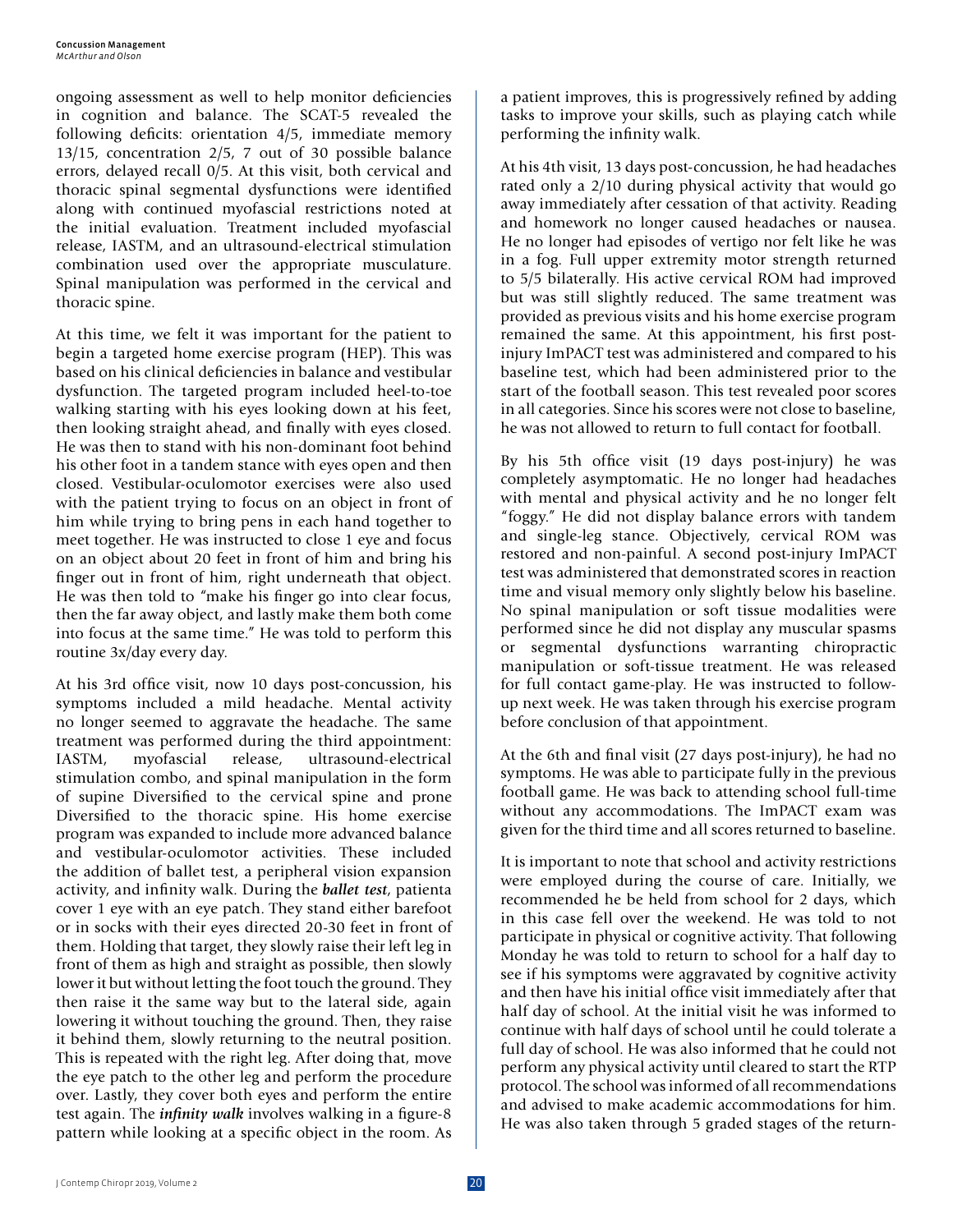ongoing assessment as well to help monitor deficiencies in cognition and balance. The SCAT-5 revealed the following deficits: orientation 4/5, immediate memory 13/15, concentration 2/5, 7 out of 30 possible balance errors, delayed recall 0/5. At this visit, both cervical and thoracic spinal segmental dysfunctions were identified along with continued myofascial restrictions noted at the initial evaluation. Treatment included myofascial release, IASTM, and an ultrasound-electrical stimulation combination used over the appropriate musculature. Spinal manipulation was performed in the cervical and thoracic spine.

At this time, we felt it was important for the patient to begin a targeted home exercise program (HEP). This was based on his clinical deficiencies in balance and vestibular dysfunction. The targeted program included heel-to-toe walking starting with his eyes looking down at his feet, then looking straight ahead, and finally with eyes closed. He was then to stand with his non-dominant foot behind his other foot in a tandem stance with eyes open and then closed. Vestibular-oculomotor exercises were also used with the patient trying to focus on an object in front of him while trying to bring pens in each hand together to meet together. He was instructed to close 1 eye and focus on an object about 20 feet in front of him and bring his finger out in front of him, right underneath that object. He was then told to "make his finger go into clear focus, then the far away object, and lastly make them both come into focus at the same time." He was told to perform this routine 3x/day every day.

At his 3rd office visit, now 10 days post-concussion, his symptoms included a mild headache. Mental activity no longer seemed to aggravate the headache. The same treatment was performed during the third appointment: IASTM, myofascial release, ultrasound-electrical stimulation combo, and spinal manipulation in the form of supine Diversified to the cervical spine and prone Diversified to the thoracic spine. His home exercise program was expanded to include more advanced balance and vestibular-oculomotor activities. These included the addition of ballet test, a peripheral vision expansion activity, and infinity walk. During the *ballet test*, patienta cover 1 eye with an eye patch. They stand either barefoot or in socks with their eyes directed 20-30 feet in front of them. Holding that target, they slowly raise their left leg in front of them as high and straight as possible, then slowly lower it but without letting the foot touch the ground. They then raise it the same way but to the lateral side, again lowering it without touching the ground. Then, they raise it behind them, slowly returning to the neutral position. This is repeated with the right leg. After doing that, move the eye patch to the other leg and perform the procedure over. Lastly, they cover both eyes and perform the entire test again. The *infinity walk* involves walking in a figure-8 pattern while looking at a specific object in the room. As

a patient improves, this is progressively refined by adding tasks to improve your skills, such as playing catch while performing the infinity walk.

At his 4th visit, 13 days post-concussion, he had headaches rated only a 2/10 during physical activity that would go away immediately after cessation of that activity. Reading and homework no longer caused headaches or nausea. He no longer had episodes of vertigo nor felt like he was in a fog. Full upper extremity motor strength returned to 5/5 bilaterally. His active cervical ROM had improved but was still slightly reduced. The same treatment was provided as previous visits and his home exercise program remained the same. At this appointment, his first postinjury ImPACT test was administered and compared to his baseline test, which had been administered prior to the start of the football season. This test revealed poor scores in all categories. Since his scores were not close to baseline, he was not allowed to return to full contact for football.

By his 5th office visit (19 days post-injury) he was completely asymptomatic. He no longer had headaches with mental and physical activity and he no longer felt "foggy." He did not display balance errors with tandem and single-leg stance. Objectively, cervical ROM was restored and non-painful. A second post-injury ImPACT test was administered that demonstrated scores in reaction time and visual memory only slightly below his baseline. No spinal manipulation or soft tissue modalities were performed since he did not display any muscular spasms or segmental dysfunctions warranting chiropractic manipulation or soft-tissue treatment. He was released for full contact game-play. He was instructed to followup next week. He was taken through his exercise program before conclusion of that appointment.

At the 6th and final visit (27 days post-injury), he had no symptoms. He was able to participate fully in the previous football game. He was back to attending school full-time without any accommodations. The ImPACT exam was given for the third time and all scores returned to baseline.

It is important to note that school and activity restrictions were employed during the course of care. Initially, we recommended he be held from school for 2 days, which in this case fell over the weekend. He was told to not participate in physical or cognitive activity. That following Monday he was told to return to school for a half day to see if his symptoms were aggravated by cognitive activity and then have his initial office visit immediately after that half day of school. At the initial visit he was informed to continue with half days of school until he could tolerate a full day of school. He was also informed that he could not perform any physical activity until cleared to start the RTP protocol. The school was informed of all recommendations and advised to make academic accommodations for him. He was also taken through 5 graded stages of the return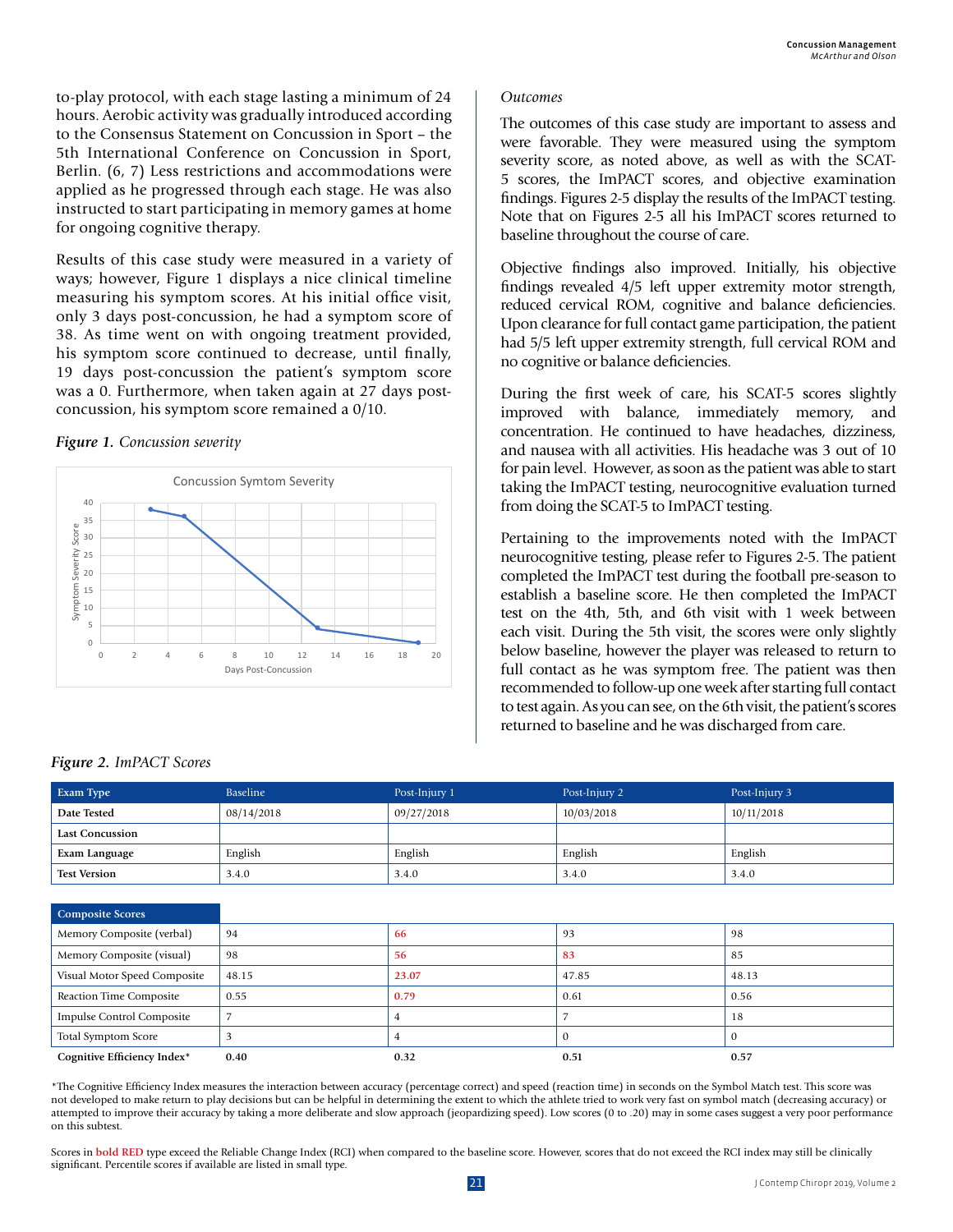to-play protocol, with each stage lasting a minimum of 24 hours. Aerobic activity was gradually introduced according to the Consensus Statement on Concussion in Sport – the 5th International Conference on Concussion in Sport, Berlin. (6, 7) Less restrictions and accommodations were applied as he progressed through each stage. He was also instructed to start participating in memory games at home for ongoing cognitive therapy.

Results of this case study were measured in a variety of ways; however, Figure 1 displays a nice clinical timeline measuring his symptom scores. At his initial office visit, only 3 days post-concussion, he had a symptom score of 38. As time went on with ongoing treatment provided, his symptom score continued to decrease, until finally, 19 days post-concussion the patient's symptom score was a 0. Furthermore, when taken again at 27 days postconcussion, his symptom score remained a 0/10.

#### *Figure 1. Concussion severity*



#### *Outcomes*

The outcomes of this case study are important to assess and were favorable. They were measured using the symptom severity score, as noted above, as well as with the SCAT-5 scores, the ImPACT scores, and objective examination findings. Figures 2-5 display the results of the ImPACT testing. Note that on Figures 2-5 all his ImPACT scores returned to baseline throughout the course of care.

Objective findings also improved. Initially, his objective findings revealed 4/5 left upper extremity motor strength, reduced cervical ROM, cognitive and balance deficiencies. Upon clearance for full contact game participation, the patient had 5/5 left upper extremity strength, full cervical ROM and no cognitive or balance deficiencies.

During the first week of care, his SCAT-5 scores slightly improved with balance, immediately memory, and concentration. He continued to have headaches, dizziness, and nausea with all activities. His headache was 3 out of 10 for pain level. However, as soon as the patient was able to start taking the ImPACT testing, neurocognitive evaluation turned from doing the SCAT-5 to ImPACT testing.

Pertaining to the improvements noted with the ImPACT neurocognitive testing, please refer to Figures 2-5. The patient completed the ImPACT test during the football pre-season to establish a baseline score. He then completed the ImPACT test on the 4th, 5th, and 6th visit with 1 week between each visit. During the 5th visit, the scores were only slightly below baseline, however the player was released to return to full contact as he was symptom free. The patient was then recommended to follow-up one week after starting full contact to test again. As you can see, on the 6th visit, the patient's scores returned to baseline and he was discharged from care.

| Date Tested                      | 08/14/2018 | 09/27/2018 | 10/03/2018   | 10/11/2018   |
|----------------------------------|------------|------------|--------------|--------------|
| <b>Last Concussion</b>           |            |            |              |              |
| Exam Language                    | English    | English    | English      | English      |
| <b>Test Version</b>              | 3.4.0      | 3.4.0      | 3.4.0        | 3.4.0        |
|                                  |            |            |              |              |
| <b>Composite Scores</b>          |            |            |              |              |
| Memory Composite (verbal)        | 94         | 66         | 93           | 98           |
| Memory Composite (visual)        | 98         | 56         | 83           | 85           |
| Visual Motor Speed Composite     | 48.15      | 23.07      | 47.85        | 48.13        |
| <b>Reaction Time Composite</b>   | 0.55       | 0.79       | 0.61         | 0.56         |
| <b>Impulse Control Composite</b> | 7          | 4          |              | 18           |
| <b>Total Symptom Score</b>       | 3          | 4          | $\mathbf{0}$ | $\mathbf{0}$ |
| Cognitive Efficiency Index*      | 0.40       | 0.32       | 0.51         | 0.57         |

**Exam Type** Baseline Baseline Post-Injury 1 Post-Injury 2 Post-Injury 3 Post-Injury 3

\*The Cognitive Efficiency Index measures the interaction between accuracy (percentage correct) and speed (reaction time) in seconds on the Symbol Match test. This score was not developed to make return to play decisions but can be helpful in determining the extent to which the athlete tried to work very fast on symbol match (decreasing accuracy) or attempted to improve their accuracy by taking a more deliberate and slow approach (jeopardizing speed). Low scores (0 to .20) may in some cases suggest a very poor performance on this subtest.

Scores in bold RED type exceed the Reliable Change Index (RCI) when compared to the baseline score. However, scores that do not exceed the RCI index may still be clinically significant. Percentile scores if available are listed in small type.

#### *Figure 2. ImPACT Scores*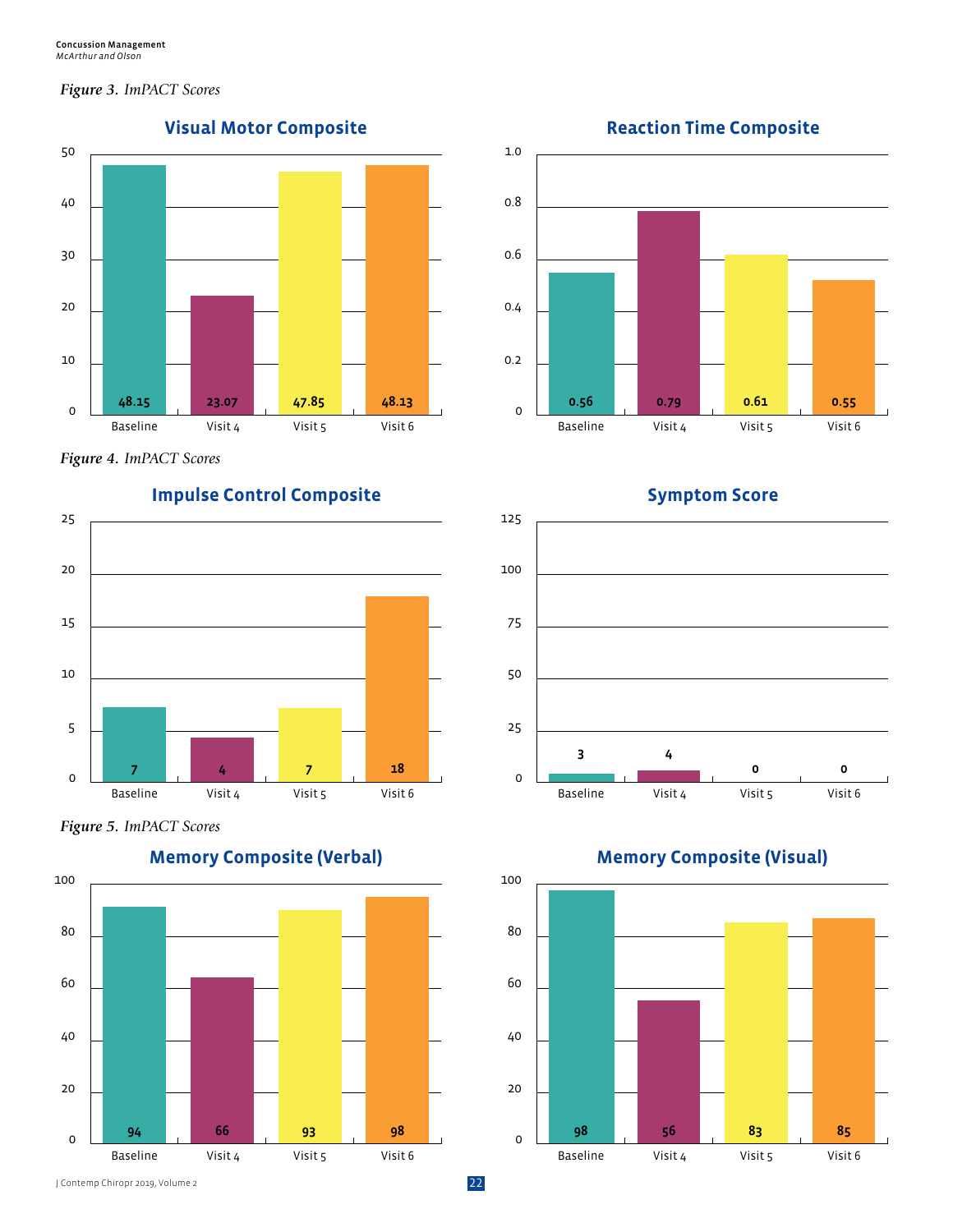#### *Figure 3. ImPACT Scores*



*Figure 4. ImPACT Scores*



*Figure 5. ImPACT Scores*









**Symptom Score**



**Memory Composite (Visual)**



J Contemp Chiropr 2019, Volume 2 22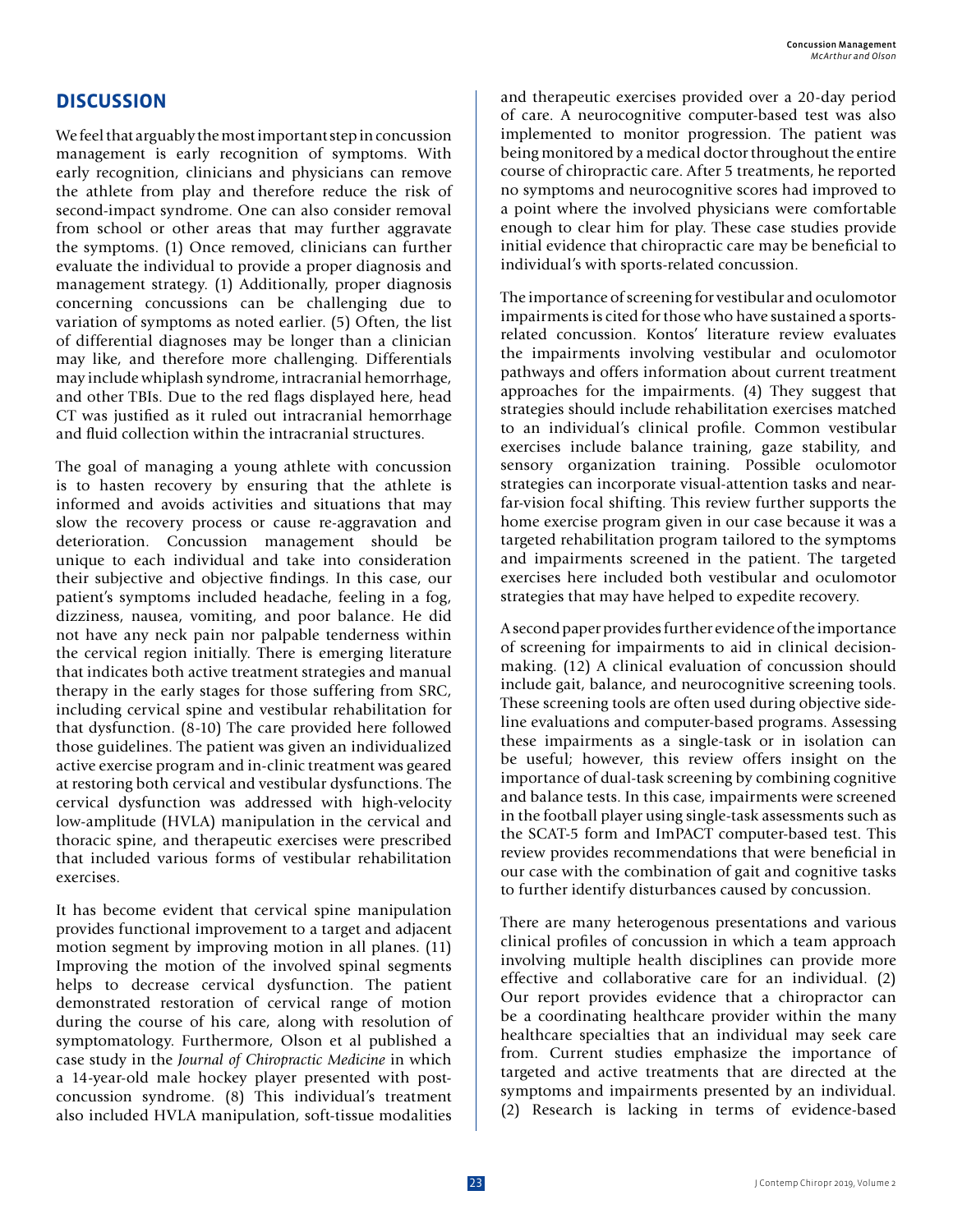## **DISCUSSION**

We feel that arguably the most important step in concussion management is early recognition of symptoms. With early recognition, clinicians and physicians can remove the athlete from play and therefore reduce the risk of second-impact syndrome. One can also consider removal from school or other areas that may further aggravate the symptoms. (1) Once removed, clinicians can further evaluate the individual to provide a proper diagnosis and management strategy. (1) Additionally, proper diagnosis concerning concussions can be challenging due to variation of symptoms as noted earlier. (5) Often, the list of differential diagnoses may be longer than a clinician may like, and therefore more challenging. Differentials may include whiplash syndrome, intracranial hemorrhage, and other TBIs. Due to the red flags displayed here, head CT was justified as it ruled out intracranial hemorrhage and fluid collection within the intracranial structures.

The goal of managing a young athlete with concussion is to hasten recovery by ensuring that the athlete is informed and avoids activities and situations that may slow the recovery process or cause re-aggravation and deterioration. Concussion management should be unique to each individual and take into consideration their subjective and objective findings. In this case, our patient's symptoms included headache, feeling in a fog, dizziness, nausea, vomiting, and poor balance. He did not have any neck pain nor palpable tenderness within the cervical region initially. There is emerging literature that indicates both active treatment strategies and manual therapy in the early stages for those suffering from SRC, including cervical spine and vestibular rehabilitation for that dysfunction. (8-10) The care provided here followed those guidelines. The patient was given an individualized active exercise program and in-clinic treatment was geared at restoring both cervical and vestibular dysfunctions. The cervical dysfunction was addressed with high-velocity low-amplitude (HVLA) manipulation in the cervical and thoracic spine, and therapeutic exercises were prescribed that included various forms of vestibular rehabilitation exercises.

It has become evident that cervical spine manipulation provides functional improvement to a target and adjacent motion segment by improving motion in all planes. (11) Improving the motion of the involved spinal segments helps to decrease cervical dysfunction. The patient demonstrated restoration of cervical range of motion during the course of his care, along with resolution of symptomatology. Furthermore, Olson et al published a case study in the *Journal of Chiropractic Medicine* in which a 14-year-old male hockey player presented with postconcussion syndrome. (8) This individual's treatment also included HVLA manipulation, soft-tissue modalities and therapeutic exercises provided over a 20-day period of care. A neurocognitive computer-based test was also implemented to monitor progression. The patient was being monitored by a medical doctor throughout the entire course of chiropractic care. After 5 treatments, he reported no symptoms and neurocognitive scores had improved to a point where the involved physicians were comfortable enough to clear him for play. These case studies provide initial evidence that chiropractic care may be beneficial to individual's with sports-related concussion.

The importance of screening for vestibular and oculomotor impairments is cited for those who have sustained a sportsrelated concussion. Kontos' literature review evaluates the impairments involving vestibular and oculomotor pathways and offers information about current treatment approaches for the impairments. (4) They suggest that strategies should include rehabilitation exercises matched to an individual's clinical profile. Common vestibular exercises include balance training, gaze stability, and sensory organization training. Possible oculomotor strategies can incorporate visual-attention tasks and nearfar-vision focal shifting. This review further supports the home exercise program given in our case because it was a targeted rehabilitation program tailored to the symptoms and impairments screened in the patient. The targeted exercises here included both vestibular and oculomotor strategies that may have helped to expedite recovery.

A second paper provides further evidence of the importance of screening for impairments to aid in clinical decisionmaking. (12) A clinical evaluation of concussion should include gait, balance, and neurocognitive screening tools. These screening tools are often used during objective sideline evaluations and computer-based programs. Assessing these impairments as a single-task or in isolation can be useful; however, this review offers insight on the importance of dual-task screening by combining cognitive and balance tests. In this case, impairments were screened in the football player using single-task assessments such as the SCAT-5 form and ImPACT computer-based test. This review provides recommendations that were beneficial in our case with the combination of gait and cognitive tasks to further identify disturbances caused by concussion.

There are many heterogenous presentations and various clinical profiles of concussion in which a team approach involving multiple health disciplines can provide more effective and collaborative care for an individual. (2) Our report provides evidence that a chiropractor can be a coordinating healthcare provider within the many healthcare specialties that an individual may seek care from. Current studies emphasize the importance of targeted and active treatments that are directed at the symptoms and impairments presented by an individual. (2) Research is lacking in terms of evidence-based